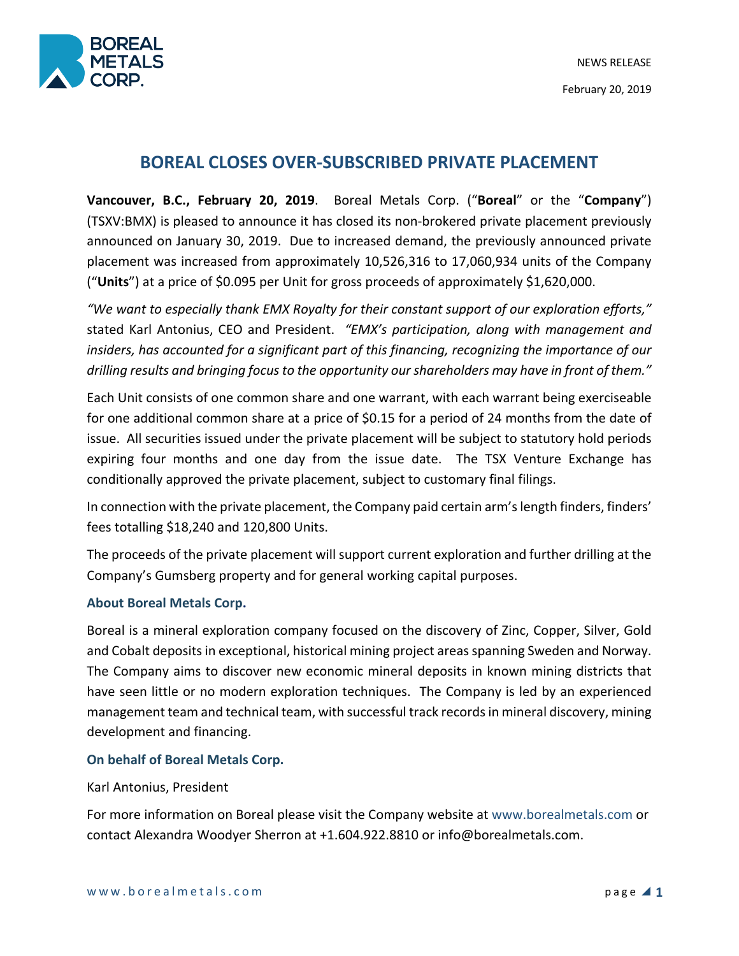

# **BOREAL CLOSES OVER-SUBSCRIBED PRIVATE PLACEMENT**

**Vancouver, B.C., February 20, 2019**. Boreal Metals Corp. ("**Boreal**" or the "**Company**") (TSXV:BMX) is pleased to announce it has closed its non-brokered private placement previously announced on January 30, 2019. Due to increased demand, the previously announced private placement was increased from approximately 10,526,316 to 17,060,934 units of the Company ("**Units**") at a price of \$0.095 per Unit for gross proceeds of approximately \$1,620,000.

*"We want to especially thank EMX Royalty for their constant support of our exploration efforts,"*  stated Karl Antonius, CEO and President. *"EMX's participation, along with management and insiders, has accounted for a significant part of this financing, recognizing the importance of our drilling results and bringing focus to the opportunity our shareholders may have in front of them."* 

Each Unit consists of one common share and one warrant, with each warrant being exerciseable for one additional common share at a price of \$0.15 for a period of 24 months from the date of issue. All securities issued under the private placement will be subject to statutory hold periods expiring four months and one day from the issue date. The TSX Venture Exchange has conditionally approved the private placement, subject to customary final filings.

In connection with the private placement, the Company paid certain arm's length finders, finders' fees totalling \$18,240 and 120,800 Units.

The proceeds of the private placement will support current exploration and further drilling at the Company's Gumsberg property and for general working capital purposes.

## **About Boreal Metals Corp.**

Boreal is a mineral exploration company focused on the discovery of Zinc, Copper, Silver, Gold and Cobalt deposits in exceptional, historical mining project areas spanning Sweden and Norway. The Company aims to discover new economic mineral deposits in known mining districts that have seen little or no modern exploration techniques. The Company is led by an experienced management team and technical team, with successful track records in mineral discovery, mining development and financing.

## **On behalf of Boreal Metals Corp.**

#### Karl Antonius, President

For more information on Boreal please visit the Company website at www.borealmetals.com or contact Alexandra Woodyer Sherron at +1.604.922.8810 or info@borealmetals.com.